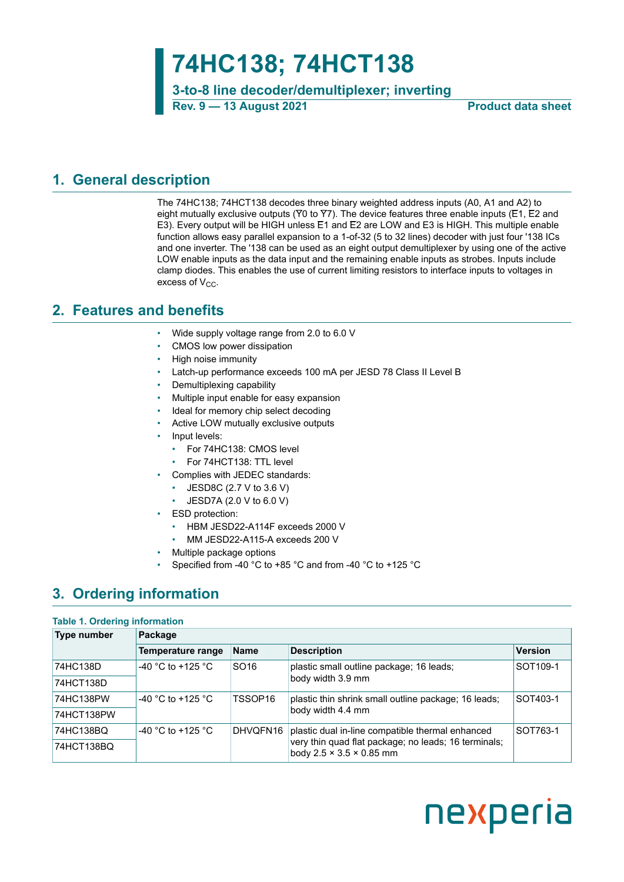# **74HC138; 74HCT138**

**3-to-8 line decoder/demultiplexer; inverting Rev. 9 — 13 August 2021 Product data sheet**

### <span id="page-0-2"></span>**1. General description**

The 74HC138; 74HCT138 decodes three binary weighted address inputs (A0, A1 and A2) to eight mutually exclusive outputs (Y0 to Y7). The device features three enable inputs (E1, E2 and E3). Every output will be HIGH unless E1 and E2 are LOW and E3 is HIGH. This multiple enable function allows easy parallel expansion to a 1-of-32 (5 to 32 lines) decoder with just four '138 ICs and one inverter. The '138 can be used as an eight output demultiplexer by using one of the active LOW enable inputs as the data input and the remaining enable inputs as strobes. Inputs include clamp diodes. This enables the use of current limiting resistors to interface inputs to voltages in excess of  $V_{CC}$ .

### <span id="page-0-0"></span>**2. Features and benefits**

- Wide supply voltage range from 2.0 to 6.0 V
- CMOS low power dissipation
- High noise immunity
- Latch-up performance exceeds 100 mA per JESD 78 Class II Level B
- Demultiplexing capability
- Multiple input enable for easy expansion
- Ideal for memory chip select decoding
- Active LOW mutually exclusive outputs
- Input levels:
	- For 74HC138: CMOS level
	- For 74HCT138: TTL level
- Complies with JEDEC standards:
	- JESD8C (2.7 V to 3.6 V)
	- $\cdot$  JESD7A (2.0 V to 6.0 V)
- ESD protection:
	- HBM JESD22-A114F exceeds 2000 V
	- MM JESD22-A115-A exceeds 200 V
- Multiple package options
- Specified from -40 °C to +85 °C and from -40 °C to +125 °C

# <span id="page-0-1"></span>**3. Ordering information**

### **Table 1. Ordering information**

| Type number | Package                  |                     |                                                                                                          |                      |
|-------------|--------------------------|---------------------|----------------------------------------------------------------------------------------------------------|----------------------|
|             | <b>Temperature range</b> | <b>Name</b>         | <b>Description</b>                                                                                       | <b>Version</b>       |
| 74HC138D    | -40 °C to +125 °C        | SO <sub>16</sub>    | plastic small outline package; 16 leads;                                                                 | SOT <sub>109-1</sub> |
| 74HCT138D   |                          |                     | body width 3.9 mm                                                                                        |                      |
| 74HC138PW   | $-40$ °C to +125 °C.     | TSSOP <sub>16</sub> | plastic thin shrink small outline package; 16 leads;                                                     | SOT403-1             |
| 74HCT138PW  |                          |                     | body width 4.4 mm                                                                                        |                      |
| 74HC138BQ   | -40 °C to +125 °C        | DHVQFN16            | plastic dual in-line compatible thermal enhanced<br>very thin quad flat package; no leads; 16 terminals; | SOT763-1             |
| 74HCT138BQ  |                          |                     |                                                                                                          |                      |

# nexperia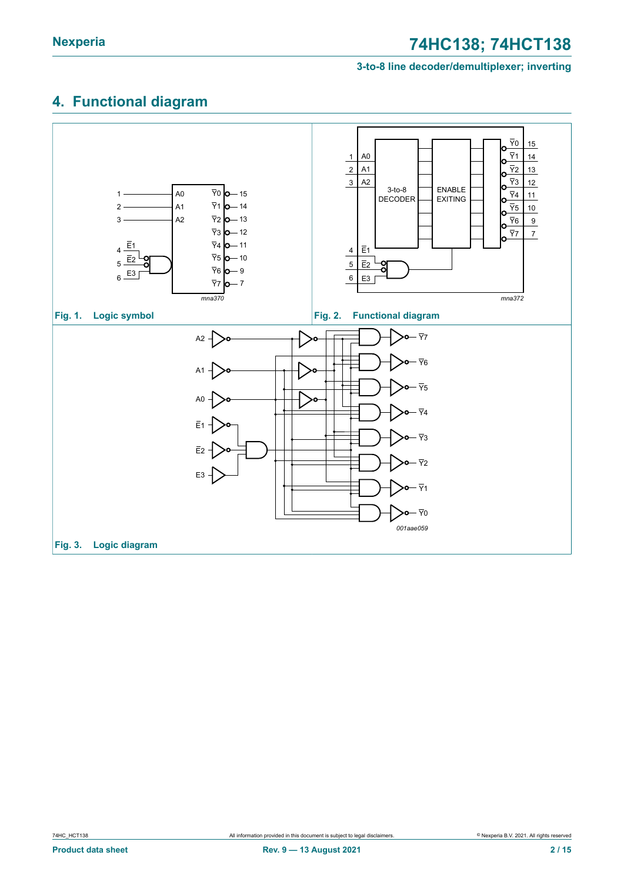#### **3-to-8 line decoder/demultiplexer; inverting**

# <span id="page-1-0"></span>**4. Functional diagram**

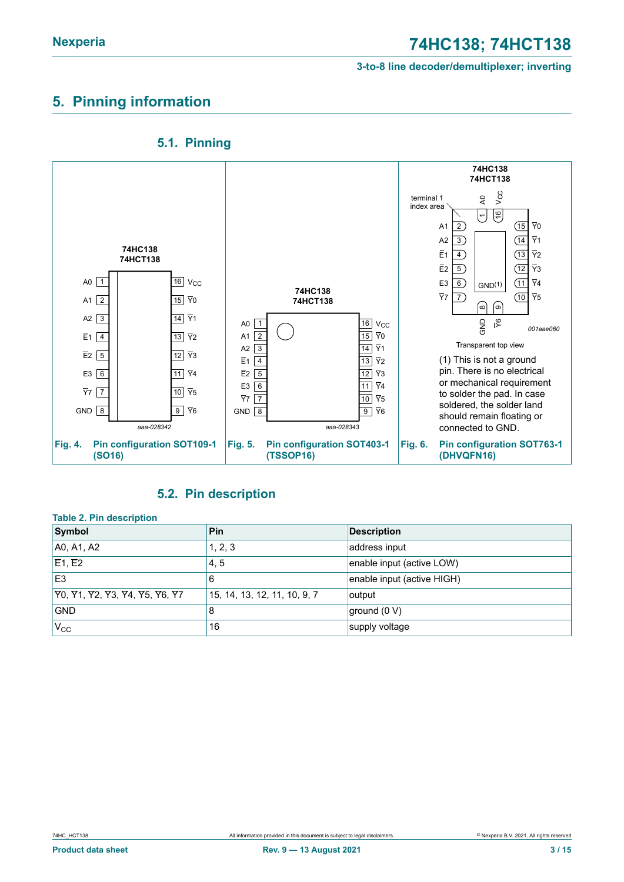# <span id="page-2-1"></span>**5. Pinning information**



#### <span id="page-2-2"></span><span id="page-2-0"></span>**5.1. Pinning**

### <span id="page-2-3"></span>**5.2. Pin description**

| <b>Table 2. Pin description</b>    |                              |                            |
|------------------------------------|------------------------------|----------------------------|
| Symbol                             | <b>Pin</b>                   | <b>Description</b>         |
| A0, A1, A2                         | 1, 2, 3                      | address input              |
| $\overline{E}$ 1, $\overline{E}$ 2 | 4, 5                         | enable input (active LOW)  |
| E <sub>3</sub>                     | 6                            | enable input (active HIGH) |
| 70, 71, 72, 73, 74, 75, 76, 77     | 15, 14, 13, 12, 11, 10, 9, 7 | output                     |
| <b>GND</b>                         | 8                            | ground (0 V)               |
| $V_{CC}$                           | 16                           | supply voltage             |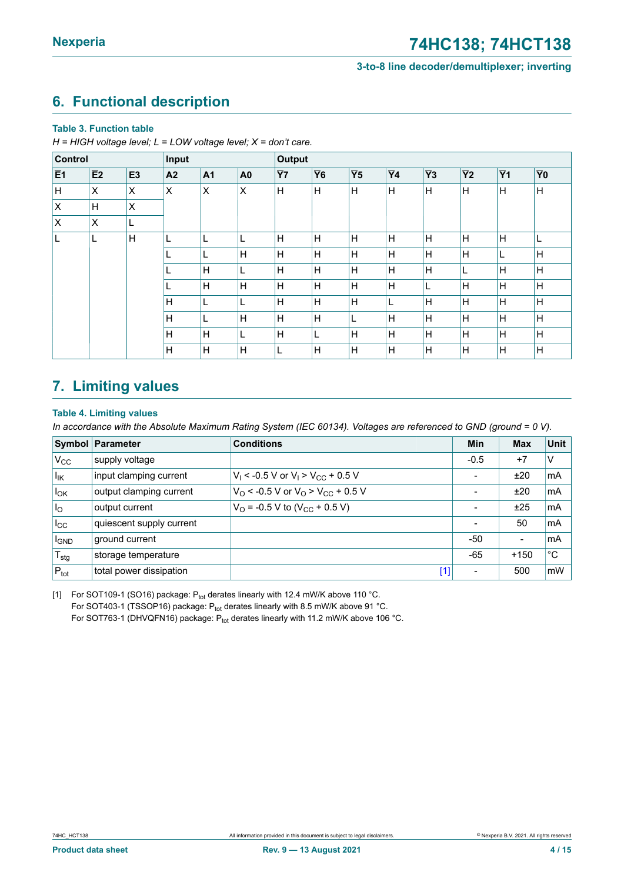### <span id="page-3-2"></span><span id="page-3-0"></span>**6. Functional description**

#### **Table 3. Function table**

*H = HIGH voltage level; L = LOW voltage level; X = don't care.*

| Control        |    |                | Input          |                |                | <b>Output</b> |           |                 |           |                 |                 |           |                |
|----------------|----|----------------|----------------|----------------|----------------|---------------|-----------|-----------------|-----------|-----------------|-----------------|-----------|----------------|
| E <sub>1</sub> | E2 | E <sub>3</sub> | A <sub>2</sub> | A <sub>1</sub> | A <sub>0</sub> | <b>Y7</b>     | <b>Y6</b> | $\overline{Y}5$ | <b>Y4</b> | $\overline{Y}3$ | $\overline{Y}2$ | <b>Y1</b> | Y <sub>0</sub> |
| H.             | X  | ΙX             | X              | X              | X              | H             | H         | H               | H         | $\mathsf{H}$    | Н               | H         | $\mathsf{H}$   |
| Ιx             | H  | X              |                |                |                |               |           |                 |           |                 |                 |           |                |
| $\overline{X}$ | X  | L              |                |                |                |               |           |                 |           |                 |                 |           |                |
| L              | L  | H              |                |                | L              | H             | H         | H               | H         | H               | H               | H         | ┗              |
|                |    |                |                | L              | H              | H             | н         | H               | H         | Н               | Н               |           | Η              |
|                |    |                |                | H              | L              | H             | H         | H               | H         | H               | L               | H         | H              |
|                |    |                |                | H              | H              | H             | H         | H               | H         | L               | Н               | H         | $\mathsf{H}$   |
|                |    |                | H              | L              | L              | H             | H         | H               | L.        | H               | Н               | H         | H              |
|                |    |                | H              | L              | H              | H             | H         | L               | H         | H               | Н               | H         | $\mathsf{H}$   |
|                |    |                | H              | H              | L              | H             | L         | H               | Η         | H               | H               | H         | Н              |
|                |    |                | H              | Н              | Н              |               | н         | Н               | H         | Η               | н               | H         | Η              |

# <span id="page-3-3"></span>**7. Limiting values**

#### <span id="page-3-1"></span>**Table 4. Limiting values**

In accordance with the Absolute Maximum Rating System (IEC 60134). Voltages are referenced to GND (ground = 0 V).

|                        | <b>Symbol Parameter</b>  | <b>Conditions</b>                                               | Min                      | <b>Max</b>               | Unit |
|------------------------|--------------------------|-----------------------------------------------------------------|--------------------------|--------------------------|------|
| $V_{\rm CC}$           | supply voltage           |                                                                 | $-0.5$                   | $+7$                     | V    |
| $I_{IK}$               | input clamping current   | $V_1$ < -0.5 V or $V_1$ > $V_{CC}$ + 0.5 V                      | -                        | ±20                      | mA   |
| $I_{OK}$               | output clamping current  | $V_{\Omega}$ < -0.5 V or $V_{\Omega}$ > $V_{\text{CC}}$ + 0.5 V | $\overline{\phantom{0}}$ | ±20                      | mA   |
| I <sub>O</sub>         | output current           | $V_{\Omega}$ = -0.5 V to (V <sub>CC</sub> + 0.5 V)              | -                        | ±25                      | mA   |
| $I_{\rm CC}$           | quiescent supply current |                                                                 | $\blacksquare$           | 50                       | mA   |
| <b>I<sub>GND</sub></b> | ground current           |                                                                 | -50                      | $\overline{\phantom{a}}$ | mA   |
| $T_{\text{stg}}$       | storage temperature      |                                                                 | $-65$                    | $+150$                   | °C   |
| $P_{\text{tot}}$       | total power dissipation  | $[1]$                                                           | -                        | 500                      | mW   |

[1] For SOT109-1 (SO16) package:  $P_{\text{tot}}$  derates linearly with 12.4 mW/K above 110 °C. For SOT403-1 (TSSOP16) package: Ptot derates linearly with 8.5 mW/K above 91 °C. For SOT763-1 (DHVQFN16) package: Ptot derates linearly with 11.2 mW/K above 106 °C.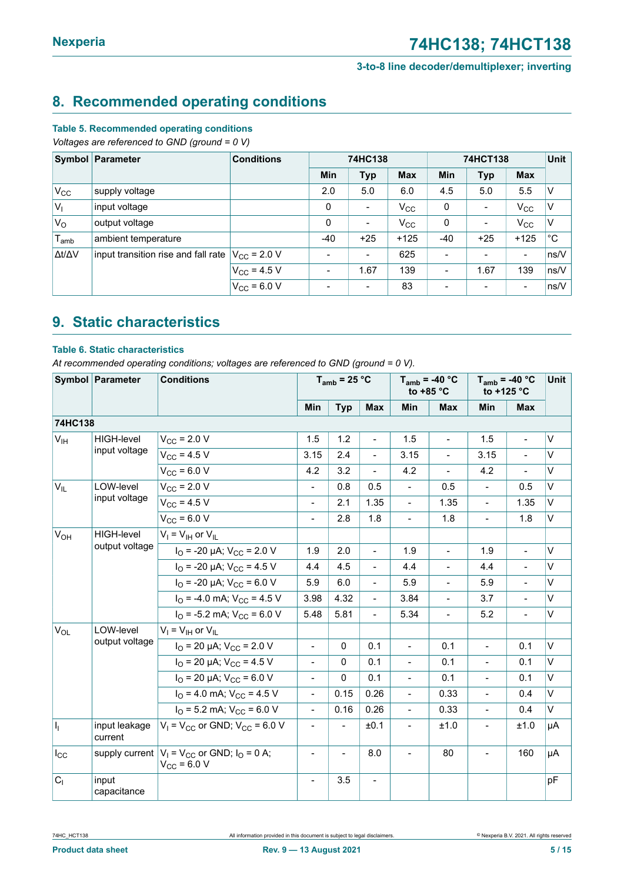### <span id="page-4-1"></span>**8. Recommended operating conditions**

#### **Table 5. Recommended operating conditions**

*Voltages are referenced to GND (ground = 0 V)*

|                     | Symbol Parameter                    | <b>Conditions</b>    | 74HC138 |                          |              | 74HCT138                 | <b>Unit</b>              |                              |              |
|---------------------|-------------------------------------|----------------------|---------|--------------------------|--------------|--------------------------|--------------------------|------------------------------|--------------|
|                     |                                     |                      | Min     | <b>Typ</b>               | <b>Max</b>   | Min                      | <b>Typ</b>               | <b>Max</b>                   |              |
| $V_{CC}$            | supply voltage                      |                      | 2.0     | 5.0                      | 6.0          | 4.5                      | 5.0                      | 5.5                          | $\vee$       |
| $V_{\parallel}$     | input voltage                       |                      | 0       | $\overline{\phantom{a}}$ | $V_{\rm CC}$ | 0                        | $\blacksquare$           | $V_{\rm CC}$                 | ۱V           |
| $V_{\rm O}$         | output voltage                      |                      | 0       | $\blacksquare$           | $V_{\rm CC}$ | 0                        | $\overline{\phantom{a}}$ | $V_{\rm CC}$                 | $\vee$       |
| $T_{\sf amb}$       | ambient temperature                 |                      | $-40$   | $+25$                    | $+125$       | $-40$                    | $+25$                    | $+125$                       | $^{\circ}$ C |
| $\Delta t/\Delta V$ | input transition rise and fall rate | $V_{\rm CC}$ = 2.0 V |         | $\blacksquare$           | 625          | $\overline{\phantom{a}}$ | $\overline{\phantom{a}}$ | $\qquad \qquad \blacksquare$ | ns/V         |
|                     |                                     | $V_{CC}$ = 4.5 V     |         | 1.67                     | 139          | $\overline{\phantom{a}}$ | 1.67                     | 139                          | ns/V         |
|                     |                                     | $V_{CC}$ = 6.0 V     |         | $\blacksquare$           | 83           | $\overline{\phantom{0}}$ | $\overline{\phantom{a}}$ | $\qquad \qquad \blacksquare$ | ns/V         |

### <span id="page-4-0"></span>**9. Static characteristics**

#### **Table 6. Static characteristics**

*At recommended operating conditions; voltages are referenced to GND (ground = 0 V).*

|                 | Symbol Parameter         | <b>Conditions</b>                                                       |                          | $T_{amb}$ = 25 °C        |                          |                | $T_{amb}$ = -40 °C<br>to $+85$ °C | $T_{amb}$ = -40 °C<br>to +125 °C | Unit                     |        |
|-----------------|--------------------------|-------------------------------------------------------------------------|--------------------------|--------------------------|--------------------------|----------------|-----------------------------------|----------------------------------|--------------------------|--------|
|                 |                          |                                                                         | Min                      | <b>Typ</b>               | <b>Max</b>               | <b>Min</b>     | <b>Max</b>                        | Min                              | <b>Max</b>               |        |
| 74HC138         |                          |                                                                         |                          |                          |                          |                |                                   |                                  |                          |        |
| V <sub>IH</sub> | <b>HIGH-level</b>        | $V_{\rm CC}$ = 2.0 V                                                    | 1.5                      | 1.2                      | $\blacksquare$           | 1.5            | $\blacksquare$                    | 1.5                              | $\blacksquare$           | $\vee$ |
|                 | input voltage            | $V_{CC}$ = 4.5 V                                                        | 3.15                     | 2.4                      | $\overline{a}$           | 3.15           | $\overline{a}$                    | 3.15                             |                          | $\vee$ |
|                 |                          | $V_{CC}$ = 6.0 V                                                        | 4.2                      | 3.2                      | $\overline{a}$           | 4.2            | $\overline{\phantom{a}}$          | 4.2                              | $\overline{\phantom{a}}$ | V      |
| $V_{IL}$        | LOW-level                | $V_{CC}$ = 2.0 V                                                        | $\blacksquare$           | 0.8                      | 0.5                      | $\blacksquare$ | 0.5                               | $\overline{\phantom{a}}$         | 0.5                      | V      |
|                 | input voltage            | $V_{CC}$ = 4.5 V                                                        | $\overline{a}$           | 2.1                      | 1.35                     | $\frac{1}{2}$  | 1.35                              | $\frac{1}{2}$                    | 1.35                     | V      |
|                 |                          | $V_{CC}$ = 6.0 V                                                        | $\overline{a}$           | 2.8                      | 1.8                      |                | 1.8                               | $\blacksquare$                   | 1.8                      | V      |
| $V_{OH}$        | <b>HIGH-level</b>        | $V_I = V_{IH}$ or $V_{IL}$                                              |                          |                          |                          |                |                                   |                                  |                          |        |
|                 | output voltage           | $I_{\text{O}}$ = -20 µA; $V_{\text{CC}}$ = 2.0 V                        | 1.9                      | 2.0                      | $\overline{a}$           | 1.9            | $\overline{\phantom{a}}$          | 1.9                              | $\blacksquare$           | $\vee$ |
|                 |                          | $I_{\Omega}$ = -20 µA; $V_{\text{CC}}$ = 4.5 V                          | 4.4                      | 4.5                      | $\blacksquare$           | 4.4            | $\overline{\phantom{a}}$          | 4.4                              | $\blacksquare$           | V      |
|                 |                          | $I_{\text{O}}$ = -20 µA; $V_{\text{CC}}$ = 6.0 V                        | 5.9                      | 6.0                      | $\frac{1}{2}$            | 5.9            | $\overline{\phantom{0}}$          | 5.9                              |                          | V      |
|                 |                          | $I_{\Omega}$ = -4.0 mA; $V_{\text{CC}}$ = 4.5 V                         | 3.98                     | 4.32                     | $\overline{\phantom{a}}$ | 3.84           | $\overline{a}$                    | 3.7                              | $\overline{\phantom{a}}$ | V      |
|                 |                          | $I_{\Omega}$ = -5.2 mA; $V_{\text{CC}}$ = 6.0 V                         | 5.48                     | 5.81                     | $\blacksquare$           | 5.34           | $\overline{a}$                    | 5.2                              | $\blacksquare$           | V      |
| $V_{OL}$        | LOW-level                | $V_I = V_{IH}$ or $V_{IL}$                                              |                          |                          |                          |                |                                   |                                  |                          |        |
|                 | output voltage           | $I_{\Omega}$ = 20 µA; $V_{\text{CC}}$ = 2.0 V                           | $\overline{a}$           | $\Omega$                 | 0.1                      | $\frac{1}{2}$  | 0.1                               | $\blacksquare$                   | 0.1                      | V      |
|                 |                          | $I_{\Omega}$ = 20 µA; $V_{CC}$ = 4.5 V                                  |                          | 0                        | 0.1                      |                | 0.1                               |                                  | 0.1                      | V      |
|                 |                          | $I_{\Omega}$ = 20 µA; $V_{CC}$ = 6.0 V                                  | $\overline{a}$           | $\Omega$                 | 0.1                      | $\overline{a}$ | 0.1                               | $\overline{a}$                   | 0.1                      | V      |
|                 |                          | $I_{\Omega}$ = 4.0 mA; $V_{\text{CC}}$ = 4.5 V                          | $\blacksquare$           | 0.15                     | 0.26                     | $\blacksquare$ | 0.33                              | $\blacksquare$                   | 0.4                      | V      |
|                 |                          | $I_{\Omega}$ = 5.2 mA; $V_{\text{CC}}$ = 6.0 V                          | $\frac{1}{2}$            | 0.16                     | 0.26                     | $\frac{1}{2}$  | 0.33                              | $\blacksquare$                   | 0.4                      | V      |
| h.              | input leakage<br>current | $V_1$ = $V_{CC}$ or GND; $V_{CC}$ = 6.0 V                               |                          |                          | ±0.1                     | $\frac{1}{2}$  | ±1.0                              | $\frac{1}{2}$                    | ±1.0                     | μA     |
| $I_{\rm CC}$    |                          | supply current $ V_1 = V_{CC}$ or GND; $I_0 = 0$ A;<br>$V_{CC}$ = 6.0 V | $\overline{a}$           | $\overline{\phantom{0}}$ | 8.0                      | $\overline{a}$ | 80                                | $\overline{a}$                   | 160                      | μA     |
| C <sub>1</sub>  | input<br>capacitance     |                                                                         | $\overline{\phantom{a}}$ | 3.5                      | $\overline{\phantom{a}}$ |                |                                   |                                  |                          | pF     |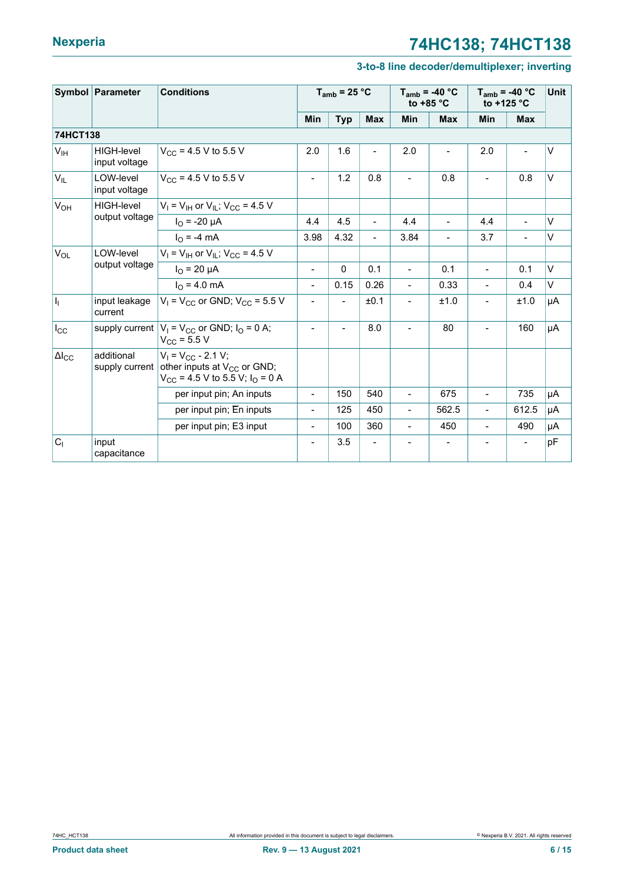#### **3-to-8 line decoder/demultiplexer; inverting**

|                       | Symbol Parameter                   | <b>Conditions</b>                                                                                        |                              | $T_{amb}$ = 25 °C |                          | to $+85$ °C              | $T_{amb}$ = -40 °C       | $T_{amb}$ = -40 °C<br>to $+125$ °C | <b>Unit</b> |        |
|-----------------------|------------------------------------|----------------------------------------------------------------------------------------------------------|------------------------------|-------------------|--------------------------|--------------------------|--------------------------|------------------------------------|-------------|--------|
|                       |                                    |                                                                                                          | <b>Min</b>                   | <b>Typ</b>        | <b>Max</b>               | Min                      | <b>Max</b>               | Min                                | <b>Max</b>  |        |
| 74HCT138              |                                    |                                                                                                          |                              |                   |                          |                          |                          |                                    |             |        |
| V <sub>IH</sub>       | <b>HIGH-level</b><br>input voltage | $V_{CC}$ = 4.5 V to 5.5 V                                                                                | 2.0                          | 1.6               | $\overline{\phantom{0}}$ | 2.0                      |                          | 2.0                                |             | $\vee$ |
| $V_{IL}$              | LOW-level<br>input voltage         | $V_{CC}$ = 4.5 V to 5.5 V                                                                                | $\overline{\phantom{0}}$     | 1.2               | 0.8                      | $\blacksquare$           | 0.8                      |                                    | 0.8         | $\vee$ |
| <b>V<sub>OH</sub></b> | <b>HIGH-level</b>                  | $V_1 = V_{1H}$ or $V_{1L}$ ; $V_{CC} = 4.5$ V                                                            |                              |                   |                          |                          |                          |                                    |             |        |
|                       | output voltage                     | $I_{\Omega}$ = -20 µA                                                                                    | 4.4                          | 4.5               | $\overline{\phantom{a}}$ | 4.4                      | $\overline{\phantom{a}}$ | 4.4                                |             | V      |
|                       |                                    | $I_{\Omega}$ = -4 mA                                                                                     | 3.98                         | 4.32              | $\overline{\phantom{a}}$ | 3.84                     | $\blacksquare$           | 3.7                                |             | V      |
| $V_{OL}$              | LOW-level                          | $V_1$ = $V_{1H}$ or $V_{1I}$ ; $V_{CC}$ = 4.5 V                                                          |                              |                   |                          |                          |                          |                                    |             |        |
|                       | output voltage                     | $I_{\Omega}$ = 20 µA                                                                                     | $\overline{\phantom{0}}$     | $\Omega$          | 0.1                      | $\overline{a}$           | 0.1                      | $\overline{\phantom{a}}$           | 0.1         | V      |
|                       |                                    | $I_0 = 4.0$ mA                                                                                           | $\blacksquare$               | 0.15              | 0.26                     | $\blacksquare$           | 0.33                     | $\blacksquare$                     | 0.4         | V      |
| H,                    | input leakage<br>current           | $V_1$ = $V_{CC}$ or GND; $V_{CC}$ = 5.5 V                                                                | $\overline{\phantom{0}}$     |                   | ±0.1                     | $\overline{\phantom{0}}$ | ±1.0                     | $\overline{\phantom{a}}$           | ±1.0        | μA     |
| $I_{\rm CC}$          |                                    | supply current $ V_1 = V_{CC}$ or GND; $I_0 = 0$ A;<br>$V_{CC}$ = 5.5 V                                  | $\blacksquare$               | $\blacksquare$    | 8.0                      | $\overline{a}$           | 80                       | $\overline{\phantom{a}}$           | 160         | μA     |
| $\Delta I_{\rm CC}$   | additional<br>supply current       | $V_1 = V_{CC} - 2.1 V$ ;<br>other inputs at $V_{CC}$ or GND;<br>$V_{CC}$ = 4.5 V to 5.5 V; $I_{O}$ = 0 A |                              |                   |                          |                          |                          |                                    |             |        |
|                       |                                    | per input pin; An inputs                                                                                 | $\blacksquare$               | 150               | 540                      | $\overline{a}$           | 675                      | $\overline{\phantom{a}}$           | 735         | μA     |
|                       |                                    | per input pin; En inputs                                                                                 | $\qquad \qquad \blacksquare$ | 125               | 450                      | $\overline{\phantom{0}}$ | 562.5                    | $\blacksquare$                     | 612.5       | μA     |
|                       |                                    | per input pin; E3 input                                                                                  | $\overline{\phantom{a}}$     | 100               | 360                      | $\blacksquare$           | 450                      | $\overline{\phantom{a}}$           | 490         | μA     |
| C <sub>1</sub>        | input<br>capacitance               |                                                                                                          |                              | 3.5               |                          |                          |                          |                                    |             | pF     |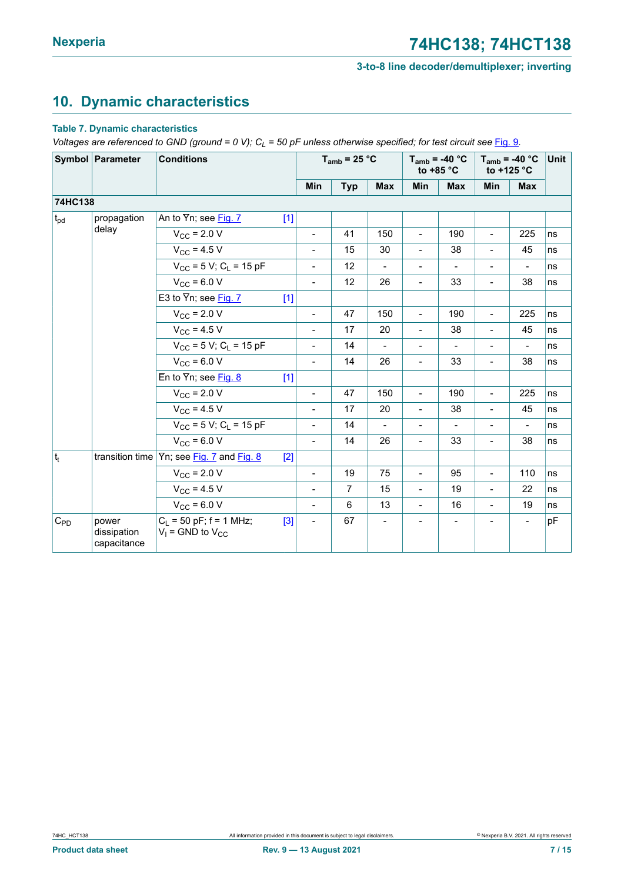# <span id="page-6-0"></span>**10. Dynamic characteristics**

#### **Table 7. Dynamic characteristics**

*Voltages* are *referenced* to GND (ground = 0 V);  $C_L$  = 50 pF unless otherwise specified; for test circuit see [Fig. 9](#page-8-0).

| Symbol Parameter |                                     | <b>Conditions</b>                                    |       | $T_{amb}$ = 25 °C            |                |                          | to $+85$ °C              | $T_{amb}$ = -40 °C | $T_{amb}$ = -40 °C<br>to $+125$ °C |                          | Unit |
|------------------|-------------------------------------|------------------------------------------------------|-------|------------------------------|----------------|--------------------------|--------------------------|--------------------|------------------------------------|--------------------------|------|
|                  |                                     |                                                      |       | Min                          | <b>Typ</b>     | <b>Max</b>               | <b>Min</b>               | <b>Max</b>         | Min                                | <b>Max</b>               |      |
| 74HC138          |                                     |                                                      |       |                              |                |                          |                          |                    |                                    |                          |      |
| $t_{pd}$         | propagation                         | An to Yn; see Fig. 7                                 | $[1]$ |                              |                |                          |                          |                    |                                    |                          |      |
|                  | delay                               | $V_{\text{CC}}$ = 2.0 V                              |       | $\blacksquare$               | 41             | 150                      | $\blacksquare$           | 190                | $\blacksquare$                     | 225                      | ns   |
|                  |                                     | $V_{\rm CC}$ = 4.5 V                                 |       | $\blacksquare$               | 15             | 30                       | $\overline{\phantom{a}}$ | 38                 | $\blacksquare$                     | 45                       | ns   |
|                  |                                     | $V_{CC}$ = 5 V; C <sub>L</sub> = 15 pF               |       | $\overline{\phantom{a}}$     | 12             | $\overline{\phantom{a}}$ | $\overline{\phantom{a}}$ | $\blacksquare$     | $\overline{\phantom{a}}$           | $\frac{1}{2}$            | ns   |
|                  |                                     | $V_{\rm CC}$ = 6.0 V                                 |       | $\blacksquare$               | 12             | 26                       | $\overline{\phantom{a}}$ | 33                 | $\blacksquare$                     | 38                       | ns   |
|                  |                                     | E3 to $\overline{Y}$ n; see Fig. 7                   | $[1]$ |                              |                |                          |                          |                    |                                    |                          |      |
|                  |                                     | $V_{\rm CC}$ = 2.0 V                                 |       | $\overline{\phantom{a}}$     | 47             | 150                      | $\overline{\phantom{a}}$ | 190                | $\overline{\phantom{a}}$           | 225                      | ns   |
|                  |                                     | $V_{\rm CC}$ = 4.5 V                                 |       | $\overline{\phantom{a}}$     | 17             | 20                       | $\overline{\phantom{a}}$ | 38                 | $\overline{\phantom{0}}$           | 45                       | ns   |
|                  |                                     | $V_{CC}$ = 5 V; C <sub>1</sub> = 15 pF               |       | $\blacksquare$               | 14             | $\blacksquare$           | $\overline{\phantom{a}}$ | $\blacksquare$     | $\overline{\phantom{a}}$           | $\overline{\phantom{0}}$ | ns   |
|                  |                                     | $V_{CC}$ = 6.0 V                                     |       | $\blacksquare$               | 14             | 26                       | Ξ.                       | 33                 | $\overline{\phantom{0}}$           | 38                       | ns   |
|                  |                                     | En to $\overline{Y}$ n; see Fig. 8                   | $[1]$ |                              |                |                          |                          |                    |                                    |                          |      |
|                  |                                     | $V_{\rm CC}$ = 2.0 V                                 |       | $\blacksquare$               | 47             | 150                      | $\blacksquare$           | 190                | $\blacksquare$                     | 225                      | ns   |
|                  |                                     | $V_{\rm CC}$ = 4.5 V                                 |       | $\blacksquare$               | 17             | 20                       | $\blacksquare$           | 38                 | $\blacksquare$                     | 45                       | ns   |
|                  |                                     | $V_{CC}$ = 5 V; C <sub>1</sub> = 15 pF               |       | $\blacksquare$               | 14             |                          | $\overline{\phantom{0}}$ |                    | $\qquad \qquad \blacksquare$       |                          | ns   |
|                  |                                     | $V_{CC}$ = 6.0 V                                     |       | $\blacksquare$               | 14             | 26                       | $\overline{a}$           | 33                 | $\overline{\phantom{0}}$           | 38                       | ns   |
| $ t_t $          | transition time                     | $\overline{Y}$ n; see Fig. 7 and Fig. 8              | [2]   |                              |                |                          |                          |                    |                                    |                          |      |
|                  |                                     | $V_{\rm CC}$ = 2.0 V                                 |       | $\blacksquare$               | 19             | 75                       | $\blacksquare$           | 95                 | $\overline{a}$                     | 110                      | ns   |
|                  |                                     | $V_{\text{CC}} = 4.5 V$                              |       | $\blacksquare$               | $\overline{7}$ | 15                       | $\blacksquare$           | 19                 | $\overline{\phantom{0}}$           | 22                       | ns   |
|                  |                                     | $V_{CC}$ = 6.0 V                                     |       | $\blacksquare$               | 6              | 13                       | $\blacksquare$           | 16                 | $\blacksquare$                     | 19                       | ns   |
| $C_{PD}$         | power<br>dissipation<br>capacitance | $C_L$ = 50 pF; f = 1 MHz;<br>$V_1$ = GND to $V_{CC}$ | $[3]$ | $\qquad \qquad \blacksquare$ | 67             |                          |                          |                    |                                    |                          | pF   |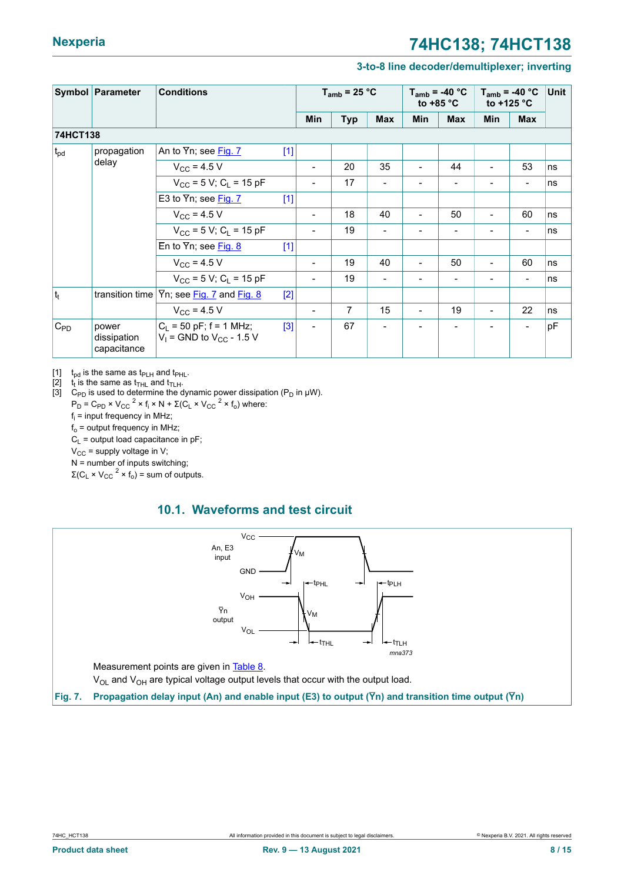#### **3-to-8 line decoder/demultiplexer; inverting**

<span id="page-7-1"></span>

| Symbol Parameter |                                     | <b>Conditions</b>                                             |       | $T_{amb}$ = 25 °C        |            |                | $T_{amb}$ = -40 °C<br>to $+85$ °C |                | $T_{amb}$ = -40 °C<br>to +125 $\degree$ C |                              | <b>Unit</b> |
|------------------|-------------------------------------|---------------------------------------------------------------|-------|--------------------------|------------|----------------|-----------------------------------|----------------|-------------------------------------------|------------------------------|-------------|
|                  |                                     |                                                               |       | Min                      | <b>Typ</b> | <b>Max</b>     | <b>Min</b>                        | <b>Max</b>     | <b>Min</b>                                | <b>Max</b>                   |             |
| 74HCT138         |                                     |                                                               |       |                          |            |                |                                   |                |                                           |                              |             |
| t <sub>pd</sub>  | propagation                         | An to Yn; see Fig. 7                                          | $[1]$ |                          |            |                |                                   |                |                                           |                              |             |
|                  | delay                               | $V_{\rm CC}$ = 4.5 V                                          |       | $\overline{\phantom{a}}$ | 20         | 35             |                                   | 44             |                                           | 53                           | ns          |
|                  |                                     | $V_{CC}$ = 5 V; C <sub>L</sub> = 15 pF                        |       | $\blacksquare$           | 17         |                |                                   |                |                                           | $\qquad \qquad \blacksquare$ | ns          |
|                  |                                     | E3 to $\overline{Y}$ n; see Fig. 7                            | $[1]$ |                          |            |                |                                   |                |                                           |                              |             |
|                  |                                     | $V_{\rm CC}$ = 4.5 V                                          |       | $\overline{\phantom{a}}$ | 18         | 40             | $\blacksquare$                    | 50             | -                                         | 60                           | ns          |
|                  |                                     | $V_{CC}$ = 5 V; C <sub>L</sub> = 15 pF                        |       | $\overline{\phantom{a}}$ | 19         | $\blacksquare$ | $\qquad \qquad \blacksquare$      | $\blacksquare$ |                                           | $\overline{\phantom{a}}$     | ns          |
|                  |                                     | En to $\overline{Y}$ n; see Fig. 8                            | $[1]$ |                          |            |                |                                   |                |                                           |                              |             |
|                  |                                     | $V_{CC}$ = 4.5 V                                              |       | $\overline{\phantom{a}}$ | 19         | 40             |                                   | 50             | $\blacksquare$                            | 60                           | ns          |
|                  |                                     | $V_{CC}$ = 5 V; C <sub>1</sub> = 15 pF                        |       | $\overline{\phantom{a}}$ | 19         |                |                                   |                |                                           | $\qquad \qquad \blacksquare$ | ns          |
| $ t_t $          | transition time                     | Yn; see Fig. 7 and Fig. 8                                     | $[2]$ |                          |            |                |                                   |                |                                           |                              |             |
|                  |                                     | $V_{CC}$ = 4.5 V                                              |       | $\overline{\phantom{a}}$ | 7          | 15             | $\blacksquare$                    | 19             | $\blacksquare$                            | 22                           | ns          |
| $C_{PD}$         | power<br>dissipation<br>capacitance | $ C_1 = 50$ pF; f = 1 MHz;<br>$V_1$ = GND to $V_{CC}$ - 1.5 V | $[3]$ | $\blacksquare$           | 67         |                |                                   |                |                                           | $\overline{\phantom{0}}$     | pF          |

[1]  $t_{pd}$  is the same as  $t_{PLH}$  and  $t_{PHL}$ .

is the same as t<sub>THL</sub> and t<sub>TLH</sub>.

 $\begin{bmatrix} 2 \\ 3 \end{bmatrix}$ [3]  $C_{PD}$  is used to determine the dynamic power dissipation (P<sub>D</sub> in μW).

 $P_D = C_{PD} \times V_{CC}^2 \times f_i \times N + \Sigma (C_L \times V_{CC}^2 \times f_o)$  where:

fi = input frequency in MHz;

 $f_0$  = output frequency in MHz;

 $C_L$  = output load capacitance in pF;

 $V_{CC}$  = supply voltage in V;

N = number of inputs switching;

 $\Sigma$ (C<sub>L</sub> × V<sub>CC</sub><sup>2</sup> × f<sub>o</sub>) = sum of outputs.

#### <span id="page-7-2"></span>**10.1. Waveforms and test circuit**

<span id="page-7-0"></span>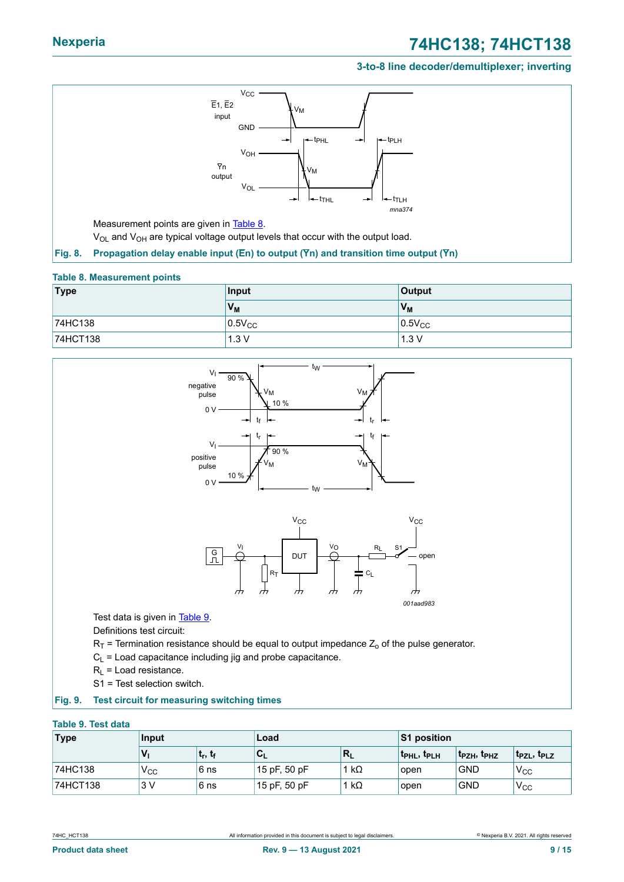#### **3-to-8 line decoder/demultiplexer; inverting**

<span id="page-8-1"></span>

#### <span id="page-8-2"></span>**Table 8. Measurement points**

| Type     | Input          | <b>Output</b>  |
|----------|----------------|----------------|
|          | V <sub>M</sub> | V <sub>M</sub> |
| 74HC138  | $0.5V_{CC}$    | $0.5V_{CC}$    |
| 74HCT138 | 1.3V           | 1.3V           |

<span id="page-8-0"></span>

<span id="page-8-3"></span>S1 = Test selection switch.

#### **Fig. 9. Test circuit for measuring switching times**

#### **Table 9. Test data**

| <b>Type</b> | Input        |              | Load         |              | <b>S1 position</b> |                                     |                       |  |
|-------------|--------------|--------------|--------------|--------------|--------------------|-------------------------------------|-----------------------|--|
|             | $V_{1}$      | $ t_r, t_f $ | ั∪∟          | 'R∟          | <b>t</b> phl, tplh | t <sub>PZH</sub> , t <sub>PHZ</sub> | $t_{PZL}$ , $t_{PLZ}$ |  |
| 74HC138     | $V_{\rm CC}$ | ∣6 ns        | 15 pF, 50 pF | 1 k $\Omega$ | open               | <b>GND</b>                          | $V_{\rm CC}$          |  |
| 74HCT138    | 3 V          | ∣6 ns        | 15 pF, 50 pF | ' kΩ         | open               | <b>GND</b>                          | $V_{\rm CC}$          |  |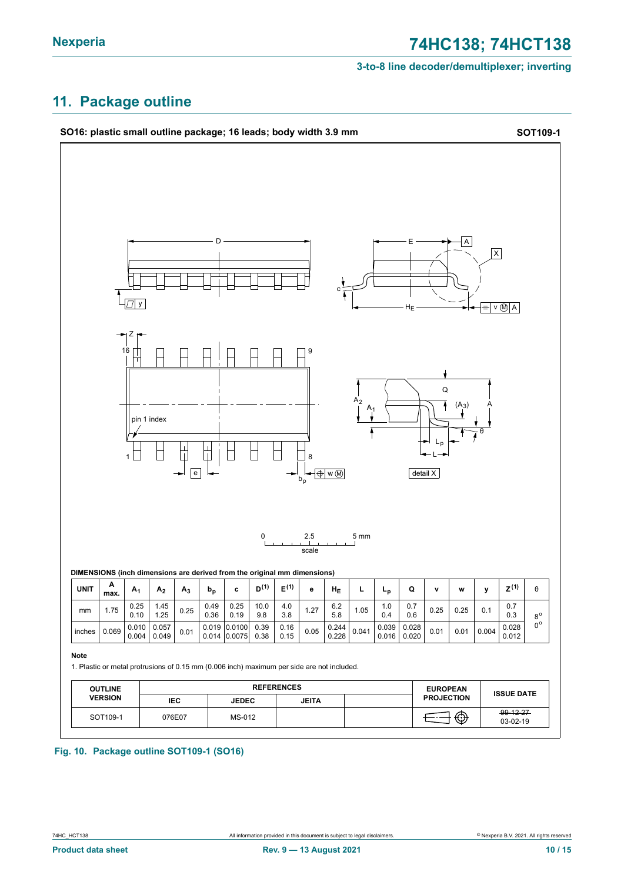# <span id="page-9-0"></span>**11. Package outline**



#### **Fig. 10. Package outline SOT109-1 (SO16)**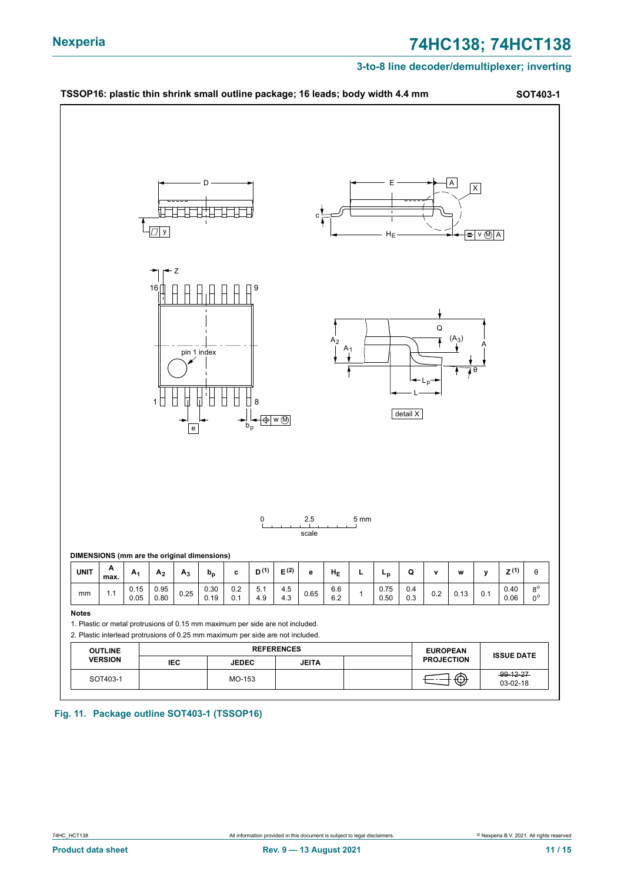#### **3-to-8 line decoder/demultiplexer; inverting**



**Fig. 11. Package outline SOT403-1 (TSSOP16)**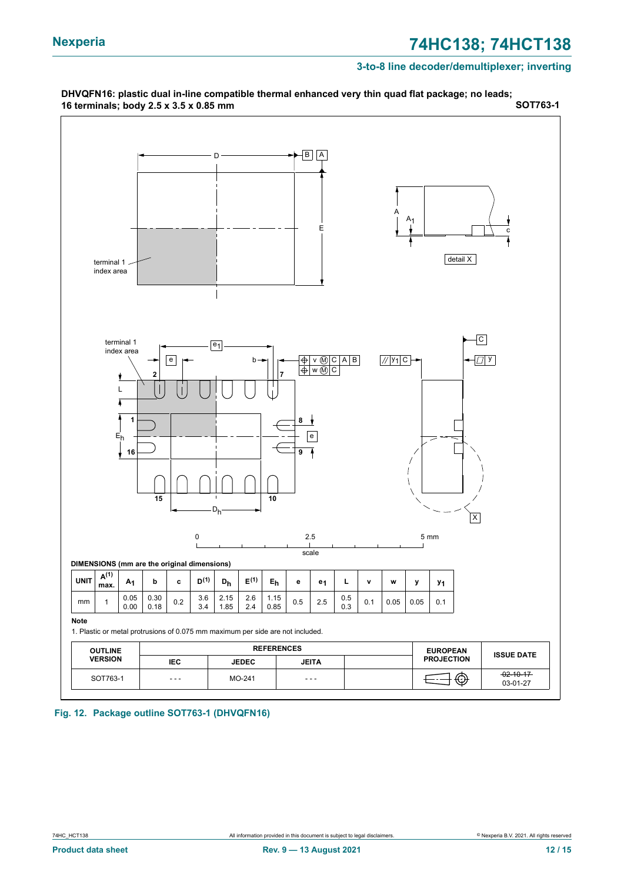#### **3-to-8 line decoder/demultiplexer; inverting**



**Fig. 12. Package outline SOT763-1 (DHVQFN16)**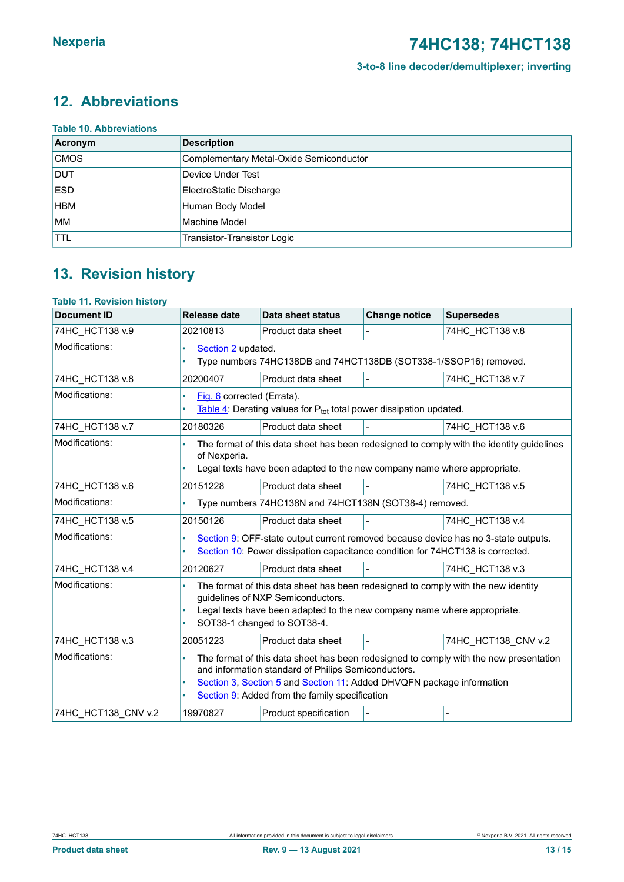# <span id="page-12-0"></span>**12. Abbreviations**

|             | <b>Table 10. Abbreviations</b>          |  |  |  |  |  |  |
|-------------|-----------------------------------------|--|--|--|--|--|--|
| Acronym     | <b>Description</b>                      |  |  |  |  |  |  |
| <b>CMOS</b> | Complementary Metal-Oxide Semiconductor |  |  |  |  |  |  |
| <b>DUT</b>  | Device Under Test                       |  |  |  |  |  |  |
| <b>ESD</b>  | ElectroStatic Discharge                 |  |  |  |  |  |  |
| <b>HBM</b>  | Human Body Model                        |  |  |  |  |  |  |
| <b>MM</b>   | Machine Model                           |  |  |  |  |  |  |
| <b>TTL</b>  | Transistor-Transistor Logic             |  |  |  |  |  |  |

# <span id="page-12-1"></span>**13. Revision history**

| <b>Table 11. Revision history</b> |                                                                                                                                                                                                                                                                                           |                       |                      |                     |  |
|-----------------------------------|-------------------------------------------------------------------------------------------------------------------------------------------------------------------------------------------------------------------------------------------------------------------------------------------|-----------------------|----------------------|---------------------|--|
| <b>Document ID</b>                | <b>Release date</b>                                                                                                                                                                                                                                                                       | Data sheet status     | <b>Change notice</b> | <b>Supersedes</b>   |  |
| 74HC HCT138 v.9                   | 20210813                                                                                                                                                                                                                                                                                  | Product data sheet    |                      | 74HC HCT138 v.8     |  |
| Modifications:                    | Section 2 updated.<br>Type numbers 74HC138DB and 74HCT138DB (SOT338-1/SSOP16) removed.                                                                                                                                                                                                    |                       |                      |                     |  |
| 74HC_HCT138 v.8                   | 20200407                                                                                                                                                                                                                                                                                  | Product data sheet    | $\overline{a}$       | 74HC HCT138 v.7     |  |
| Modifications:                    | Fig. 6 corrected (Errata).<br>$\bullet$<br>Table 4: Derating values for P <sub>tot</sub> total power dissipation updated.                                                                                                                                                                 |                       |                      |                     |  |
| 74HC HCT138 v.7                   | 20180326                                                                                                                                                                                                                                                                                  | Product data sheet    |                      | 74HC HCT138 v.6     |  |
| Modifications:                    | The format of this data sheet has been redesigned to comply with the identity guidelines<br>of Nexperia.<br>Legal texts have been adapted to the new company name where appropriate.                                                                                                      |                       |                      |                     |  |
| 74HC_HCT138 v.6                   | 20151228                                                                                                                                                                                                                                                                                  | Product data sheet    |                      | 74HC HCT138 v.5     |  |
| Modifications:                    | Type numbers 74HC138N and 74HCT138N (SOT38-4) removed.<br>٠                                                                                                                                                                                                                               |                       |                      |                     |  |
| 74HC_HCT138 v.5                   | 20150126                                                                                                                                                                                                                                                                                  | Product data sheet    |                      | 74HC HCT138 v.4     |  |
| Modifications:                    | Section 9: OFF-state output current removed because device has no 3-state outputs.<br>٠<br>Section 10: Power dissipation capacitance condition for 74HCT138 is corrected.                                                                                                                 |                       |                      |                     |  |
| 74HC HCT138 v.4                   | 20120627                                                                                                                                                                                                                                                                                  | Product data sheet    |                      | 74HC HCT138 v.3     |  |
| Modifications:                    | The format of this data sheet has been redesigned to comply with the new identity<br>guidelines of NXP Semiconductors.<br>Legal texts have been adapted to the new company name where appropriate.<br>SOT38-1 changed to SOT38-4.                                                         |                       |                      |                     |  |
| 74HC HCT138 v.3                   | 20051223                                                                                                                                                                                                                                                                                  | Product data sheet    |                      | 74HC HCT138 CNV v.2 |  |
| Modifications:                    | The format of this data sheet has been redesigned to comply with the new presentation<br>$\bullet$<br>and information standard of Philips Semiconductors.<br>Section 3, Section 5 and Section 11: Added DHVQFN package information<br>Section 9: Added from the family specification<br>٠ |                       |                      |                     |  |
| 74HC HCT138 CNV v.2               | 19970827                                                                                                                                                                                                                                                                                  | Product specification |                      |                     |  |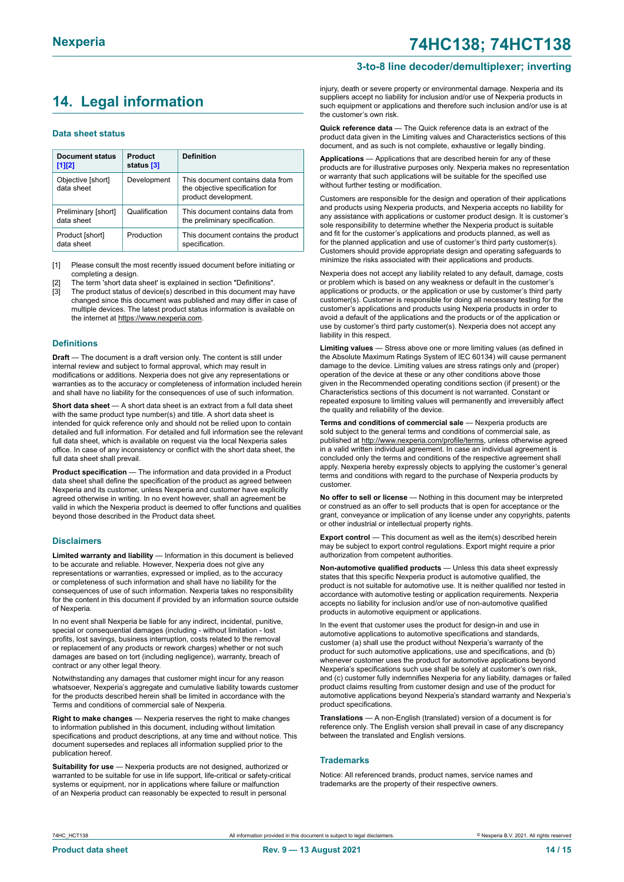# <span id="page-13-0"></span>**14. Legal information**

#### **Data sheet status**

| Document status<br>$[1]$ [2]      | Product<br>status [3] | <b>Definition</b>                                                                           |
|-----------------------------------|-----------------------|---------------------------------------------------------------------------------------------|
| Objective [short]<br>data sheet   | Development           | This document contains data from<br>the objective specification for<br>product development. |
| Preliminary [short]<br>data sheet | Qualification         | This document contains data from<br>the preliminary specification.                          |
| Product [short]<br>data sheet     | Production            | This document contains the product<br>specification.                                        |

[1] Please consult the most recently issued document before initiating or completing a design.

- The term 'short data sheet' is explained in section "Definitions".
- [3] The product status of device(s) described in this document may have changed since this document was published and may differ in case of multiple devices. The latest product status information is available on the internet at [https://www.nexperia.com.](https://www.nexperia.com)

#### **Definitions**

**Draft** — The document is a draft version only. The content is still under internal review and subject to formal approval, which may result in modifications or additions. Nexperia does not give any representations or warranties as to the accuracy or completeness of information included herein and shall have no liability for the consequences of use of such information.

**Short data sheet** — A short data sheet is an extract from a full data sheet with the same product type number(s) and title. A short data sheet is intended for quick reference only and should not be relied upon to contain detailed and full information. For detailed and full information see the relevant full data sheet, which is available on request via the local Nexperia sales office. In case of any inconsistency or conflict with the short data sheet, the full data sheet shall prevail.

**Product specification** — The information and data provided in a Product data sheet shall define the specification of the product as agreed between Nexperia and its customer, unless Nexperia and customer have explicitly agreed otherwise in writing. In no event however, shall an agreement be valid in which the Nexperia product is deemed to offer functions and qualities beyond those described in the Product data sheet.

#### **Disclaimers**

**Limited warranty and liability** — Information in this document is believed to be accurate and reliable. However, Nexperia does not give any representations or warranties, expressed or implied, as to the accuracy or completeness of such information and shall have no liability for the consequences of use of such information. Nexperia takes no responsibility for the content in this document if provided by an information source outside of Nexperia.

In no event shall Nexperia be liable for any indirect, incidental, punitive, special or consequential damages (including - without limitation - lost profits, lost savings, business interruption, costs related to the removal or replacement of any products or rework charges) whether or not such damages are based on tort (including negligence), warranty, breach of contract or any other legal theory.

Notwithstanding any damages that customer might incur for any reason whatsoever, Nexperia's aggregate and cumulative liability towards customer for the products described herein shall be limited in accordance with the Terms and conditions of commercial sale of Nexperia.

**Right to make changes** — Nexperia reserves the right to make changes to information published in this document, including without limitation specifications and product descriptions, at any time and without notice. This document supersedes and replaces all information supplied prior to the publication hereof

**Suitability for use** — Nexperia products are not designed, authorized or warranted to be suitable for use in life support, life-critical or safety-critical systems or equipment, nor in applications where failure or malfunction of an Nexperia product can reasonably be expected to result in personal

#### **3-to-8 line decoder/demultiplexer; inverting**

injury, death or severe property or environmental damage. Nexperia and its suppliers accept no liability for inclusion and/or use of Nexperia products in such equipment or applications and therefore such inclusion and/or use is at the customer's own risk.

**Quick reference data** — The Quick reference data is an extract of the product data given in the Limiting values and Characteristics sections of this document, and as such is not complete, exhaustive or legally binding.

**Applications** — Applications that are described herein for any of these products are for illustrative purposes only. Nexperia makes no representation or warranty that such applications will be suitable for the specified use without further testing or modification.

Customers are responsible for the design and operation of their applications and products using Nexperia products, and Nexperia accepts no liability for any assistance with applications or customer product design. It is customer's sole responsibility to determine whether the Nexperia product is suitable and fit for the customer's applications and products planned, as well as for the planned application and use of customer's third party customer(s). Customers should provide appropriate design and operating safeguards to minimize the risks associated with their applications and products.

Nexperia does not accept any liability related to any default, damage, costs or problem which is based on any weakness or default in the customer's applications or products, or the application or use by customer's third party customer(s). Customer is responsible for doing all necessary testing for the customer's applications and products using Nexperia products in order to avoid a default of the applications and the products or of the application or use by customer's third party customer(s). Nexperia does not accept any liability in this respect.

**Limiting values** — Stress above one or more limiting values (as defined in the Absolute Maximum Ratings System of IEC 60134) will cause permanent damage to the device. Limiting values are stress ratings only and (proper) operation of the device at these or any other conditions above those given in the Recommended operating conditions section (if present) or the Characteristics sections of this document is not warranted. Constant or repeated exposure to limiting values will permanently and irreversibly affect the quality and reliability of the device.

**Terms and conditions of commercial sale** — Nexperia products are sold subject to the general terms and conditions of commercial sale, as published at [http://www.nexperia.com/profile/terms,](http://www.nexperia.com/profile/terms) unless otherwise agreed in a valid written individual agreement. In case an individual agreement is concluded only the terms and conditions of the respective agreement shall apply. Nexperia hereby expressly objects to applying the customer's general terms and conditions with regard to the purchase of Nexperia products by customer.

**No offer to sell or license** — Nothing in this document may be interpreted or construed as an offer to sell products that is open for acceptance or the grant, conveyance or implication of any license under any copyrights, patents or other industrial or intellectual property rights.

**Export control** — This document as well as the item(s) described herein may be subject to export control regulations. Export might require a prior authorization from competent authorities.

**Non-automotive qualified products** — Unless this data sheet expressly states that this specific Nexperia product is automotive qualified, the product is not suitable for automotive use. It is neither qualified nor tested in accordance with automotive testing or application requirements. Nexperia accepts no liability for inclusion and/or use of non-automotive qualified products in automotive equipment or applications.

In the event that customer uses the product for design-in and use in automotive applications to automotive specifications and standards, customer (a) shall use the product without Nexperia's warranty of the product for such automotive applications, use and specifications, and (b) whenever customer uses the product for automotive applications beyond Nexperia's specifications such use shall be solely at customer's own risk, and (c) customer fully indemnifies Nexperia for any liability, damages or failed product claims resulting from customer design and use of the product for automotive applications beyond Nexperia's standard warranty and Nexperia's product specifications.

**Translations** — A non-English (translated) version of a document is for reference only. The English version shall prevail in case of any discrepancy between the translated and English versions.

#### **Trademarks**

Notice: All referenced brands, product names, service names and trademarks are the property of their respective owners.